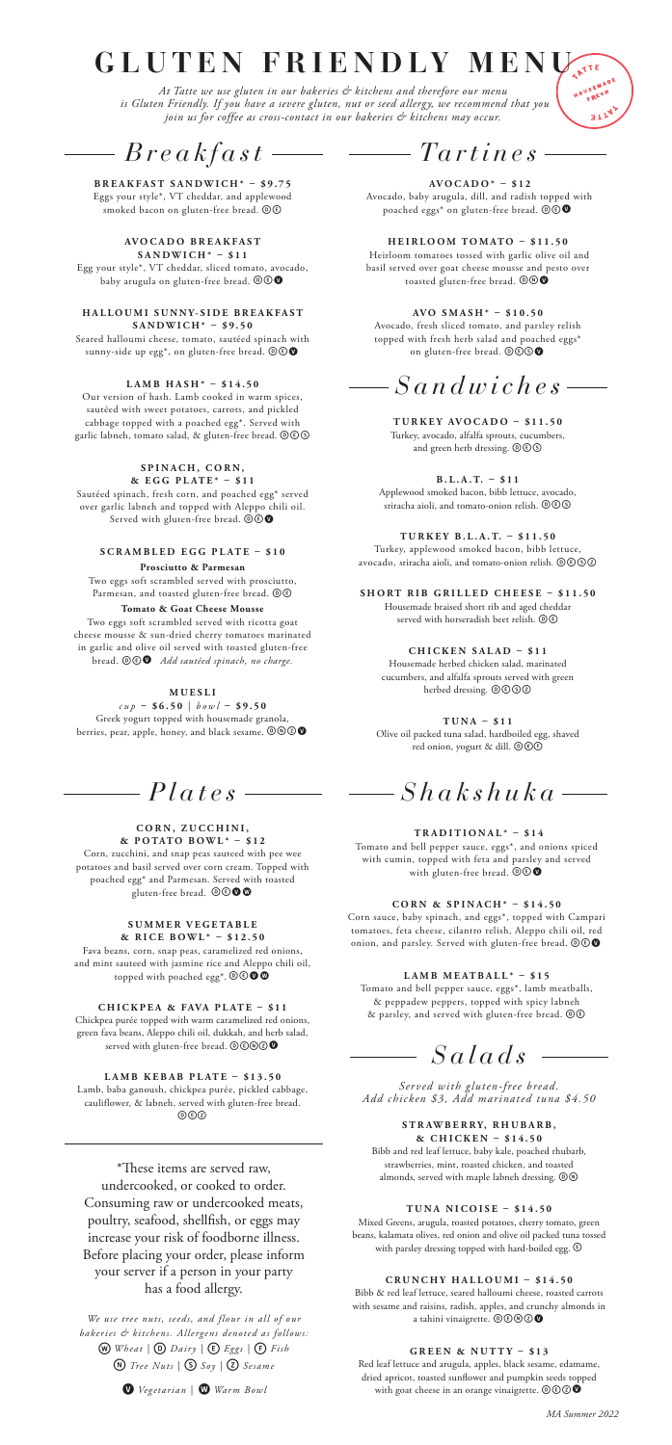# **GLUTEN FRIENDLY MEN**

*At Tatte we use gluten in our bakeries & kitchens and therefore our menu is Gluten Friendly. If you have a severe gluten, nut or seed allergy, we recommend that you join us for coffee as cross-contact in our bakeries & kitchens may occur.*

*Breakfast*

**BREAKFAST SANDWICH\* – \$9.75**

Eggs your style\*, VT cheddar, and applewood smoked bacon on gluten-free bread. @C

**AV O C A D O B R E A K F A S T SANDWICH\* – \$11** Egg your style\*, VT cheddar, sliced tomato, avocado, baby arugula on gluten-free bread.  $\circledcirc \bullet$ 

**H A L L O U M I S U N N Y- S I D E B R E A K F A S T SANDWICH\* – \$9.50**

Seared halloumi cheese, tomato, sautéed spinach with sunny-side up egg\*, on gluten-free bread.  $\circledcirc$ 

**LAMB HASH\* – \$14.50**

Our version of hash. Lamb cooked in warm spices, sautéed with sweet potatoes, carrots, and pickled cabbage topped with a poached egg\*. Served with garlic labneh, tomato salad, & gluten-free bread.  $@@@$ 

**SPINACH, CORN,**

**& E G G P L AT E \* – \$ 1 1**  Sautéed spinach, fresh corn, and poached egg\* served over garlic labneh and topped with Aleppo chili oil. Served with gluten-free bread.  $\widehat{\mathbb{O} \mathbb{O}}$ 

#### **SCRAMBLED EGG PLATE – \$10 Prosciutto & Parmesan**

Two eggs soft scrambled served with prosciutto, Parmesan, and toasted gluten-free bread.  $\textcircled{\small{1}}$ **Tomato & Goat Cheese Mousse**

Two eggs soft scrambled served with ricotta goat cheese mousse & sun-dried cherry tomatoes marinated in garlic and olive oil served with toasted gluten-free<br>bread.  $\textcircled{\textcircled{\textcircled{\textcirc}}}$  *Add sautéed spinach, no charge.* 

**M U E S L I** 

*cup* **– \$6.50** | *bowl* **– \$9.50** Greek yogurt topped with housemade granola,<br>berries, pear, apple, honey, and black sesame.  $\textcircled{0}\textcircled{2}$ 

## *Plates*

#### **CORN, ZUCCHINI,**

**& POTATO BOWL\* – \$12** Corn, zucchini, and snap peas sauteed with pee wee potatoes and basil served over corn cream. Topped with poached egg\* and Parmesan. Served with toasted gluten-free bread. **@@@@** 

**SUMMER VEGETABLE**

**& RICE BOWL\* – \$12.50** Fava beans, corn, snap peas, caramelized red onions, and mint sauteed with jasmine rice and Aleppo chili oil, topped with poached egg\*.  $\textcircled{\o} \textcircled{\bullet} \textcircled{\bullet}$ 

**CHICKPEA & FAVA PLATE – \$11** Chickpea purée topped with warm caramelized red onions, green fava beans, Aleppo chili oil, dukkah, and herb salad, served with gluten-free bread.  $\mathbf{\odot}\mathbf{\odot}\mathbf{\odot}\mathbf{\odot}$ 

**LAMB KEBAB PLATE – \$13.50** Lamb, baba ganoush, chickpea purée, pickled cabbage, cauliflower, & labneh, served with gluten-free bread.  $(0)(\overline{c})(\overline{c})$ 

\*These items are served raw, undercooked, or cooked to order. Consuming raw or undercooked meats, poultry, seafood, shellfish, or eggs may increase your risk of foodborne illness. Before placing your order, please inform your server if a person in your party has a food allergy.

*We use tree nuts, seeds, and flour in all of our bakeries & kitchens. Allergens denoted as follows:* w *Wheat |* D *Dairy |* E*Eggs |* F*Fish*  n*Tree Nuts |* S*Soy |* Z*Sesame* 



*Tartines*

ATTE

a di pi

**AVOCADO\* – \$12** Avocado, baby arugula, dill, and radish topped with poached eggs\* on gluten-free bread.  $\mathbf{\mathbb{O} \odot \mathbb{O}}$ 

**HEIRLOOM TOMATO – \$11.50** Heirloom tomatoes tossed with garlic olive oil and basil served over goat cheese mousse and pesto over<br>toasted gluten-free bread.  $\textcircled{}}\bullet\textcircled{}}$ 

**AVO SMASH\* – \$10.50** Avocado, fresh sliced tomato, and parsley relish topped with fresh herb salad and poached eggs\* on gluten-free bread.  $\mathbb{O} \mathbb{O} \mathbb{O}$ 

## *Sandwiches*

**TURKEY AVOCADO – \$11.50** Turkey, avocado, alfalfa sprouts, cucumbers, and green herb dressing.  $\overline{\mathbb{O}}\textcircled{s}$ 

**B . L . A . T. – \$11** Applewood smoked bacon, bibb lettuce, avocado, sriracha aioli, and tomato-onion relish. Des

**T U R K EY B . L . A . T. – \$11.50** Turkey, applewood smoked bacon, bibb lettuce, avocado, sriracha aioli, and tomato-onion relish. @©©©

**SHORT RIB GRILLED CHEESE – \$11.50** Housemade braised short rib and aged cheddar served with horseradish beet relish.  $\textcircled{\textcircled{\small{e}}}$ 

**CHICKEN SALAD – \$11** Housemade herbed chicken salad, marinated cucumbers, and alfalfa sprouts served with green herbed dressing. 0000

**TUNA – \$11** Olive oil packed tuna salad, hardboiled egg, shaved red onion, yogurt & dill. OOC

*Shakshuka*

#### **TRADITIONAL\* – \$14**

Tomato and bell pepper sauce, eggs\*, and onions spiced with cumin, topped with feta and parsley and served<br>with gluten-free bread.  $\circledcirc \bullet$ 

**C O R N & S P I N A C H \* – \$ 1 4 . 5 0** 

Corn sauce, baby spinach, and eggs\*, topped with Campari tomatoes, feta cheese, cilantro relish, Aleppo chili oil, red onion, and parsley. Served with gluten-free bread.  $\mathbf{\mathbb{O} \mathbb{O} \Phi}$ 

**L A M B M E AT B A L L \* – \$ 1 5** 

Tomato and bell pepper sauce, eggs\*, lamb meatballs, & peppadew peppers, topped with spicy labneh & parsley, and served with gluten-free bread.  $\textcircled{\small 1}$ 

*Salads*

*Served with gluten-free bread. Add chicken \$3, Add marinated tuna \$4.50*

#### **S T R AW B E R R Y, R H U B A R B ,**

**& CHICKEN – \$14.50** Bibb and red leaf lettuce, baby kale, poached rhubarb, strawberries, mint, roasted chicken, and toasted almonds, served with maple labneh dressing.  $\textcircled{\tiny{1}}\ \textcircled{\tiny{2}}$ 

#### **TUNA NICOISE – \$14.50**

Mixed Greens, arugula, roasted potatoes, cherry tomato, green beans, kalamata olives, red onion and olive oil packed tuna tossed with parsley dressing topped with hard-boiled egg.  $\circledR$ 

#### **C R U N C H Y H A L L O U M I – \$ 1 4 . 5 0**

Bibb & red leaf lettuce, seared halloumi cheese, roasted carrots with sesame and raisins, radish, apples, and crunchy almonds in a tahini vinaigrette.  $\mathbb{O} \mathbb{O} \mathbb{O} \mathbb{O}$ 

#### **GREEN & NUTTY – \$13**

Red leaf lettuce and arugula, apples, black sesame, edamame, dried apricot, toasted sunflower and pumpkin seeds topped with goat cheese in an orange vinaigrette.  $\circledcirc \circledbullet$